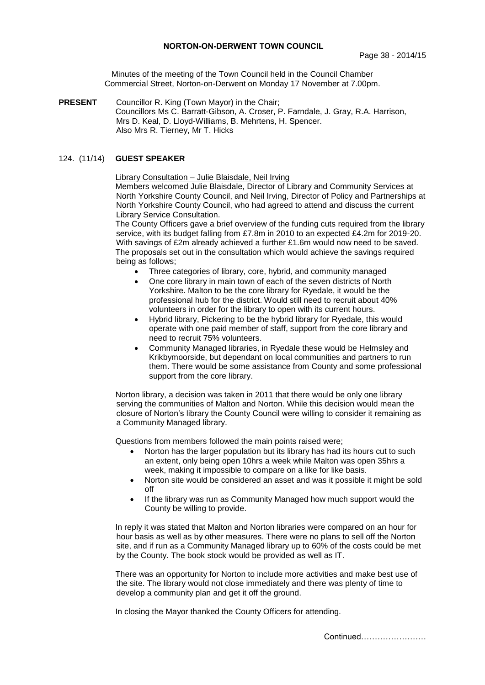Minutes of the meeting of the Town Council held in the Council Chamber Commercial Street, Norton-on-Derwent on Monday 17 November at 7.00pm.

**PRESENT** Councillor R. King (Town Mayor) in the Chair; Councillors Ms C. Barratt-Gibson, A. Croser, P. Farndale, J. Gray, R.A. Harrison, Mrs D. Keal, D. Lloyd-Williams, B. Mehrtens, H. Spencer. Also Mrs R. Tierney, Mr T. Hicks

# 124. (11/14) **GUEST SPEAKER**

Library Consultation – Julie Blaisdale, Neil Irving

Members welcomed Julie Blaisdale, Director of Library and Community Services at North Yorkshire County Council, and Neil Irving, Director of Policy and Partnerships at North Yorkshire County Council, who had agreed to attend and discuss the current Library Service Consultation.

The County Officers gave a brief overview of the funding cuts required from the library service, with its budget falling from £7.8m in 2010 to an expected £4.2m for 2019-20. With savings of £2m already achieved a further £1.6m would now need to be saved. The proposals set out in the consultation which would achieve the savings required being as follows;

- Three categories of library, core, hybrid, and community managed
- One core library in main town of each of the seven districts of North Yorkshire. Malton to be the core library for Ryedale, it would be the professional hub for the district. Would still need to recruit about 40% volunteers in order for the library to open with its current hours.
- Hybrid library, Pickering to be the hybrid library for Ryedale, this would operate with one paid member of staff, support from the core library and need to recruit 75% volunteers.
- Community Managed libraries, in Ryedale these would be Helmsley and Krikbymoorside, but dependant on local communities and partners to run them. There would be some assistance from County and some professional support from the core library.

Norton library, a decision was taken in 2011 that there would be only one library serving the communities of Malton and Norton. While this decision would mean the closure of Norton's library the County Council were willing to consider it remaining as a Community Managed library.

Questions from members followed the main points raised were;

- Norton has the larger population but its library has had its hours cut to such an extent, only being open 10hrs a week while Malton was open 35hrs a week, making it impossible to compare on a like for like basis.
- Norton site would be considered an asset and was it possible it might be sold off
- If the library was run as Community Managed how much support would the County be willing to provide.

In reply it was stated that Malton and Norton libraries were compared on an hour for hour basis as well as by other measures. There were no plans to sell off the Norton site, and if run as a Community Managed library up to 60% of the costs could be met by the County. The book stock would be provided as well as IT.

There was an opportunity for Norton to include more activities and make best use of the site. The library would not close immediately and there was plenty of time to develop a community plan and get it off the ground.

In closing the Mayor thanked the County Officers for attending.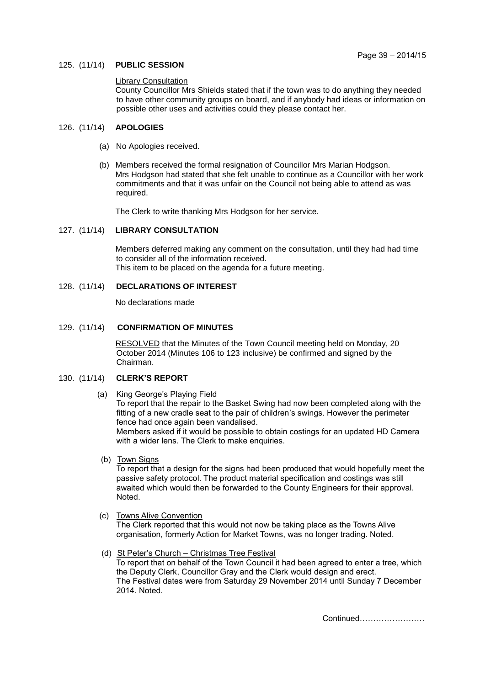### 125. (11/14) **PUBLIC SESSION**

# **Library Consultation**

County Councillor Mrs Shields stated that if the town was to do anything they needed to have other community groups on board, and if anybody had ideas or information on possible other uses and activities could they please contact her.

## 126. (11/14) **APOLOGIES**

- (a) No Apologies received.
- (b) Members received the formal resignation of Councillor Mrs Marian Hodgson. Mrs Hodgson had stated that she felt unable to continue as a Councillor with her work commitments and that it was unfair on the Council not being able to attend as was required.

The Clerk to write thanking Mrs Hodgson for her service.

### 127. (11/14) **LIBRARY CONSULTATION**

Members deferred making any comment on the consultation, until they had had time to consider all of the information received. This item to be placed on the agenda for a future meeting.

# 128. (11/14) **DECLARATIONS OF INTEREST**

No declarations made

## 129. (11/14) **CONFIRMATION OF MINUTES**

 RESOLVED that the Minutes of the Town Council meeting held on Monday, 20 October 2014 (Minutes 106 to 123 inclusive) be confirmed and signed by the Chairman.

# 130. (11/14) **CLERK'S REPORT**

- (a) King George's Playing Field To report that the repair to the Basket Swing had now been completed along with the fitting of a new cradle seat to the pair of children's swings. However the perimeter fence had once again been vandalised. Members asked if it would be possible to obtain costings for an updated HD Camera with a wider lens. The Clerk to make enquiries.
- (b) Town Signs

To report that a design for the signs had been produced that would hopefully meet the passive safety protocol. The product material specification and costings was still awaited which would then be forwarded to the County Engineers for their approval. Noted.

(c) Towns Alive Convention

The Clerk reported that this would not now be taking place as the Towns Alive organisation, formerly Action for Market Towns, was no longer trading. Noted.

 (d) St Peter's Church – Christmas Tree Festival To report that on behalf of the Town Council it had been agreed to enter a tree, which the Deputy Clerk, Councillor Gray and the Clerk would design and erect. The Festival dates were from Saturday 29 November 2014 until Sunday 7 December 2014. Noted.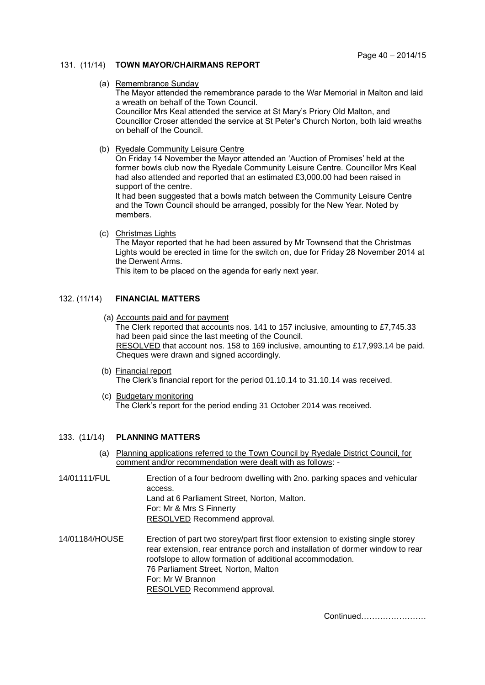# 131. (11/14) **TOWN MAYOR/CHAIRMANS REPORT**

#### (a) Remembrance Sunday

The Mayor attended the remembrance parade to the War Memorial in Malton and laid a wreath on behalf of the Town Council.

Councillor Mrs Keal attended the service at St Mary's Priory Old Malton, and Councillor Croser attended the service at St Peter's Church Norton, both laid wreaths on behalf of the Council.

(b) Ryedale Community Leisure Centre

On Friday 14 November the Mayor attended an 'Auction of Promises' held at the former bowls club now the Ryedale Community Leisure Centre. Councillor Mrs Keal had also attended and reported that an estimated £3,000.00 had been raised in support of the centre.

It had been suggested that a bowls match between the Community Leisure Centre and the Town Council should be arranged, possibly for the New Year. Noted by members.

(c) Christmas Lights

The Mayor reported that he had been assured by Mr Townsend that the Christmas Lights would be erected in time for the switch on, due for Friday 28 November 2014 at the Derwent Arms.

This item to be placed on the agenda for early next year.

## 132. (11/14) **FINANCIAL MATTERS**

 (a) Accounts paid and for payment The Clerk reported that accounts nos. 141 to 157 inclusive, amounting to £7,745.33

had been paid since the last meeting of the Council. RESOLVED that account nos. 158 to 169 inclusive, amounting to £17,993.14 be paid. Cheques were drawn and signed accordingly.

- (b) Financial report The Clerk's financial report for the period 01.10.14 to 31.10.14 was received.
- (c) Budgetary monitoring The Clerk's report for the period ending 31 October 2014 was received.

### 133. (11/14) **PLANNING MATTERS**

- (a) Planning applications referred to the Town Council by Ryedale District Council, for comment and/or recommendation were dealt with as follows: -
- 14/01111/FUL Erection of a four bedroom dwelling with 2no. parking spaces and vehicular access. Land at 6 Parliament Street, Norton, Malton. For: Mr & Mrs S Finnerty RESOLVED Recommend approval. 14/01184/HOUSE Erection of part two storey/part first floor extension to existing single storey
- rear extension, rear entrance porch and installation of dormer window to rear roofslope to allow formation of additional accommodation. 76 Parliament Street, Norton, Malton For: Mr W Brannon RESOLVED Recommend approval.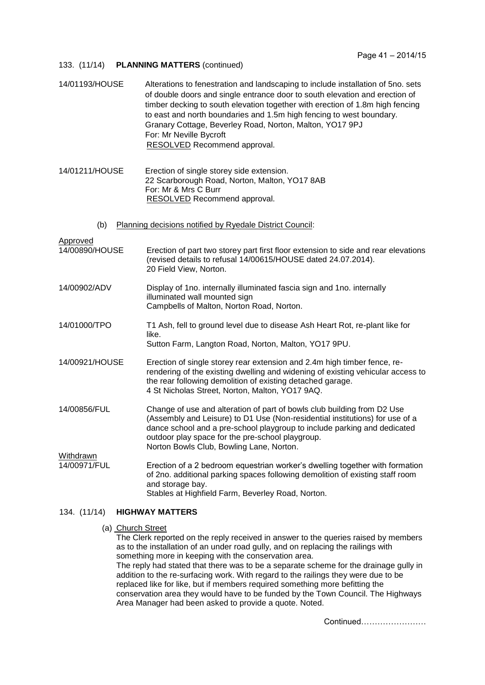## 133. (11/14) **PLANNING MATTERS** (continued)

| 14/01193/HOUSE                         | Alterations to fenestration and landscaping to include installation of 5no. sets<br>of double doors and single entrance door to south elevation and erection of<br>timber decking to south elevation together with erection of 1.8m high fencing                                                                                    |
|----------------------------------------|-------------------------------------------------------------------------------------------------------------------------------------------------------------------------------------------------------------------------------------------------------------------------------------------------------------------------------------|
|                                        | to east and north boundaries and 1.5m high fencing to west boundary.<br>Granary Cottage, Beverley Road, Norton, Malton, YO17 9PJ<br>For: Mr Neville Bycroft<br>RESOLVED Recommend approval.                                                                                                                                         |
| 14/01211/HOUSE                         | Erection of single storey side extension.<br>22 Scarborough Road, Norton, Malton, YO17 8AB<br>For: Mr & Mrs C Burr<br>RESOLVED Recommend approval.                                                                                                                                                                                  |
| (b)                                    | Planning decisions notified by Ryedale District Council:                                                                                                                                                                                                                                                                            |
| Approved<br>14/00890/HOUSE             | Erection of part two storey part first floor extension to side and rear elevations<br>(revised details to refusal 14/00615/HOUSE dated 24.07.2014).<br>20 Field View, Norton.                                                                                                                                                       |
| 14/00902/ADV                           | Display of 1no. internally illuminated fascia sign and 1no. internally<br>illuminated wall mounted sign<br>Campbells of Malton, Norton Road, Norton.                                                                                                                                                                                |
| 14/01000/TPO                           | T1 Ash, fell to ground level due to disease Ash Heart Rot, re-plant like for<br>like.<br>Sutton Farm, Langton Road, Norton, Malton, YO17 9PU.                                                                                                                                                                                       |
| 14/00921/HOUSE                         | Erection of single storey rear extension and 2.4m high timber fence, re-<br>rendering of the existing dwelling and widening of existing vehicular access to<br>the rear following demolition of existing detached garage.<br>4 St Nicholas Street, Norton, Malton, YO17 9AQ.                                                        |
| 14/00856/FUL                           | Change of use and alteration of part of bowls club building from D2 Use<br>(Assembly and Leisure) to D1 Use (Non-residential institutions) for use of a<br>dance school and a pre-school playgroup to include parking and dedicated<br>outdoor play space for the pre-school playgroup.<br>Norton Bowls Club, Bowling Lane, Norton. |
| Withdrawn<br>14/00971/FUL              | Erection of a 2 bedroom equestrian worker's dwelling together with formation<br>of 2no. additional parking spaces following demolition of existing staff room<br>and storage bay.<br>Stables at Highfield Farm, Beverley Road, Norton.                                                                                              |
| 134. (11/14)<br><b>HIGHWAY MATTERS</b> |                                                                                                                                                                                                                                                                                                                                     |

### (a) Church Street

The Clerk reported on the reply received in answer to the queries raised by members as to the installation of an under road gully, and on replacing the railings with something more in keeping with the conservation area. The reply had stated that there was to be a separate scheme for the drainage gully in addition to the re-surfacing work. With regard to the railings they were due to be replaced like for like, but if members required something more befitting the conservation area they would have to be funded by the Town Council. The Highways Area Manager had been asked to provide a quote. Noted.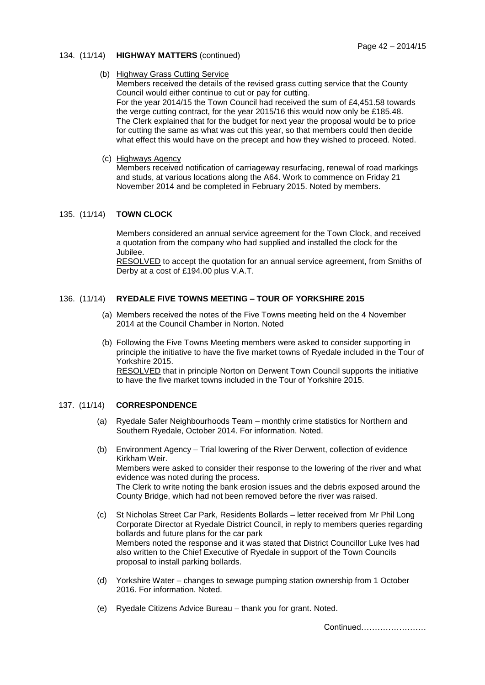### 134. (11/14) **HIGHWAY MATTERS** (continued)

## (b) Highway Grass Cutting Service

Members received the details of the revised grass cutting service that the County Council would either continue to cut or pay for cutting. For the year 2014/15 the Town Council had received the sum of £4,451.58 towards the verge cutting contract, for the year 2015/16 this would now only be £185.48. The Clerk explained that for the budget for next year the proposal would be to price for cutting the same as what was cut this year, so that members could then decide what effect this would have on the precept and how they wished to proceed. Noted.

(c) Highways Agency

Members received notification of carriageway resurfacing, renewal of road markings and studs, at various locations along the A64. Work to commence on Friday 21 November 2014 and be completed in February 2015. Noted by members.

## 135. (11/14) **TOWN CLOCK**

 Members considered an annual service agreement for the Town Clock, and received a quotation from the company who had supplied and installed the clock for the Jubilee.

RESOLVED to accept the quotation for an annual service agreement, from Smiths of Derby at a cost of £194.00 plus V.A.T.

# 136. (11/14) **RYEDALE FIVE TOWNS MEETING – TOUR OF YORKSHIRE 2015**

- (a) Members received the notes of the Five Towns meeting held on the 4 November 2014 at the Council Chamber in Norton. Noted
- (b) Following the Five Towns Meeting members were asked to consider supporting in principle the initiative to have the five market towns of Ryedale included in the Tour of Yorkshire 2015. RESOLVED that in principle Norton on Derwent Town Council supports the initiative to have the five market towns included in the Tour of Yorkshire 2015.

## 137. (11/14) **CORRESPONDENCE**

- (a) Ryedale Safer Neighbourhoods Team monthly crime statistics for Northern and Southern Ryedale, October 2014. For information. Noted.
- (b) Environment Agency Trial lowering of the River Derwent, collection of evidence Kirkham Weir. Members were asked to consider their response to the lowering of the river and what evidence was noted during the process. The Clerk to write noting the bank erosion issues and the debris exposed around the County Bridge, which had not been removed before the river was raised.
- (c) St Nicholas Street Car Park, Residents Bollards letter received from Mr Phil Long Corporate Director at Ryedale District Council, in reply to members queries regarding bollards and future plans for the car park Members noted the response and it was stated that District Councillor Luke Ives had also written to the Chief Executive of Ryedale in support of the Town Councils proposal to install parking bollards.
- (d) Yorkshire Water changes to sewage pumping station ownership from 1 October 2016. For information. Noted.
- (e) Ryedale Citizens Advice Bureau thank you for grant. Noted.